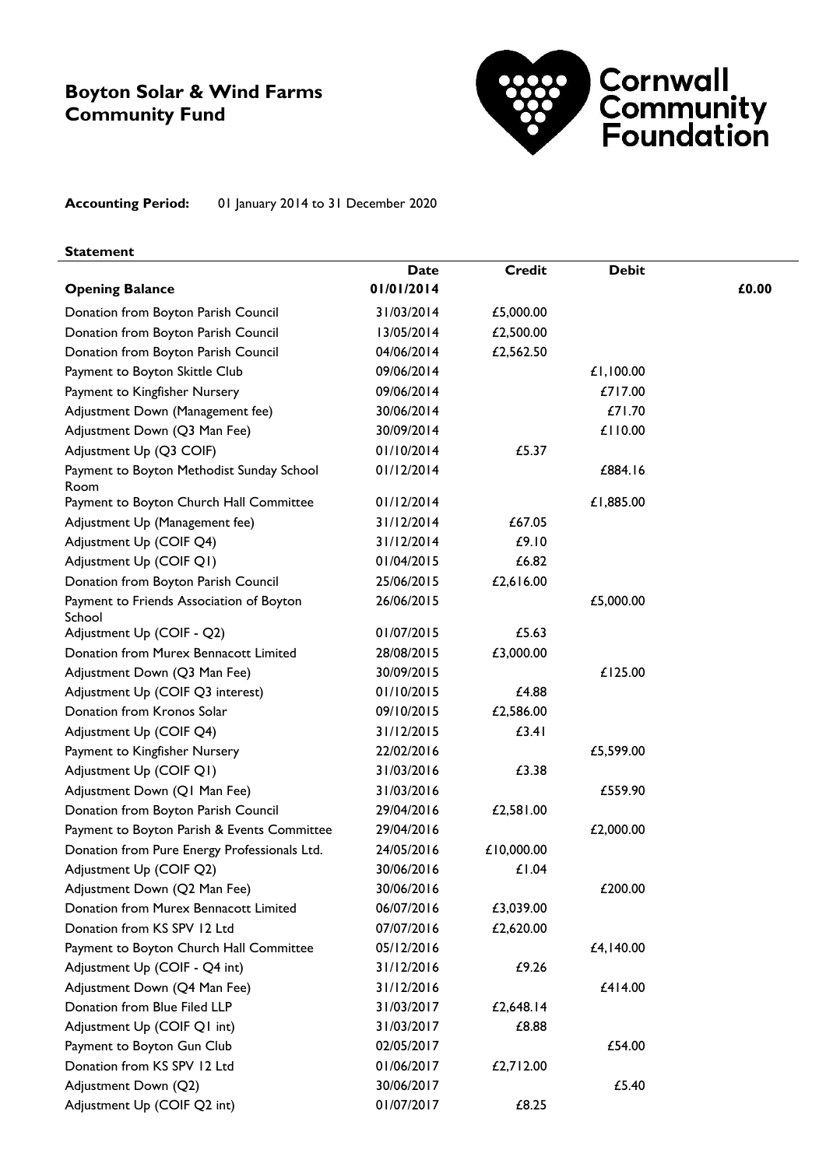### **Boyton Solar & Wind Farms Community Fund**



**Accounting Period:** 01 January 2014 to 31 December 2020

#### **Statement**

|                                                    | <b>Date</b> | <b>Credit</b> | <b>Debit</b> |       |
|----------------------------------------------------|-------------|---------------|--------------|-------|
| <b>Opening Balance</b>                             | 01/01/2014  |               |              | £0.00 |
| Donation from Boyton Parish Council                | 31/03/2014  | £5,000.00     |              |       |
| Donation from Boyton Parish Council                | 13/05/2014  | £2,500.00     |              |       |
| Donation from Boyton Parish Council                | 04/06/2014  | £2,562.50     |              |       |
| Payment to Boyton Skittle Club                     | 09/06/2014  |               | £1,100.00    |       |
| Payment to Kingfisher Nursery                      | 09/06/2014  |               | £717.00      |       |
| Adjustment Down (Management fee)                   | 30/06/2014  |               | £71.70       |       |
| Adjustment Down (Q3 Man Fee)                       | 30/09/2014  |               | £110.00      |       |
| Adjustment Up (Q3 COIF)                            | 01/10/2014  | £5.37         |              |       |
| Payment to Boyton Methodist Sunday School<br>Room  | 01/12/2014  |               | £884.16      |       |
| Payment to Boyton Church Hall Committee            | 01/12/2014  |               | £1,885.00    |       |
| Adjustment Up (Management fee)                     | 31/12/2014  | £67.05        |              |       |
| Adjustment Up (COIF Q4)                            | 31/12/2014  | £9.10         |              |       |
| Adjustment Up (COIF Q1)                            | 01/04/2015  | £6.82         |              |       |
| Donation from Boyton Parish Council                | 25/06/2015  | £2,616.00     |              |       |
| Payment to Friends Association of Boyton<br>School | 26/06/2015  |               | £5,000.00    |       |
| Adjustment Up (COIF - Q2)                          | 01/07/2015  | £5.63         |              |       |
| Donation from Murex Bennacott Limited              | 28/08/2015  | £3,000.00     |              |       |
| Adjustment Down (Q3 Man Fee)                       | 30/09/2015  |               | £125.00      |       |
| Adjustment Up (COIF Q3 interest)                   | 01/10/2015  | £4.88         |              |       |
| Donation from Kronos Solar                         | 09/10/2015  | £2,586.00     |              |       |
| Adjustment Up (COIF Q4)                            | 31/12/2015  | £3.41         |              |       |
| Payment to Kingfisher Nursery                      | 22/02/2016  |               | £5,599.00    |       |
| Adjustment Up (COIF Q1)                            | 31/03/2016  | £3.38         |              |       |
| Adjustment Down (Q1 Man Fee)                       | 31/03/2016  |               | £559.90      |       |
| Donation from Boyton Parish Council                | 29/04/2016  | £2,581.00     |              |       |
| Payment to Boyton Parish & Events Committee        | 29/04/2016  |               | £2,000.00    |       |
| Donation from Pure Energy Professionals Ltd.       | 24/05/2016  | £10,000.00    |              |       |
| Adjustment Up (COIF Q2)                            | 30/06/2016  | £1.04         |              |       |
| Adjustment Down (Q2 Man Fee)                       | 30/06/2016  |               | £200.00      |       |
| Donation from Murex Bennacott Limited              | 06/07/2016  | £3,039.00     |              |       |
| Donation from KS SPV 12 Ltd                        | 07/07/2016  | £2,620.00     |              |       |
| Payment to Boyton Church Hall Committee            | 05/12/2016  |               | £4,140.00    |       |
| Adjustment Up (COIF - Q4 int)                      | 31/12/2016  | £9.26         |              |       |
| Adjustment Down (Q4 Man Fee)                       | 31/12/2016  |               | £414.00      |       |
| Donation from Blue Filed LLP                       | 31/03/2017  | £2,648.14     |              |       |
| Adjustment Up (COIF Q1 int)                        | 31/03/2017  | £8.88         |              |       |
| Payment to Boyton Gun Club                         | 02/05/2017  |               | £54.00       |       |
| Donation from KS SPV 12 Ltd                        | 01/06/2017  | £2,712.00     |              |       |
| Adjustment Down (Q2)                               | 30/06/2017  |               | £5.40        |       |
| Adjustment Up (COIF Q2 int)                        | 01/07/2017  | £8.25         |              |       |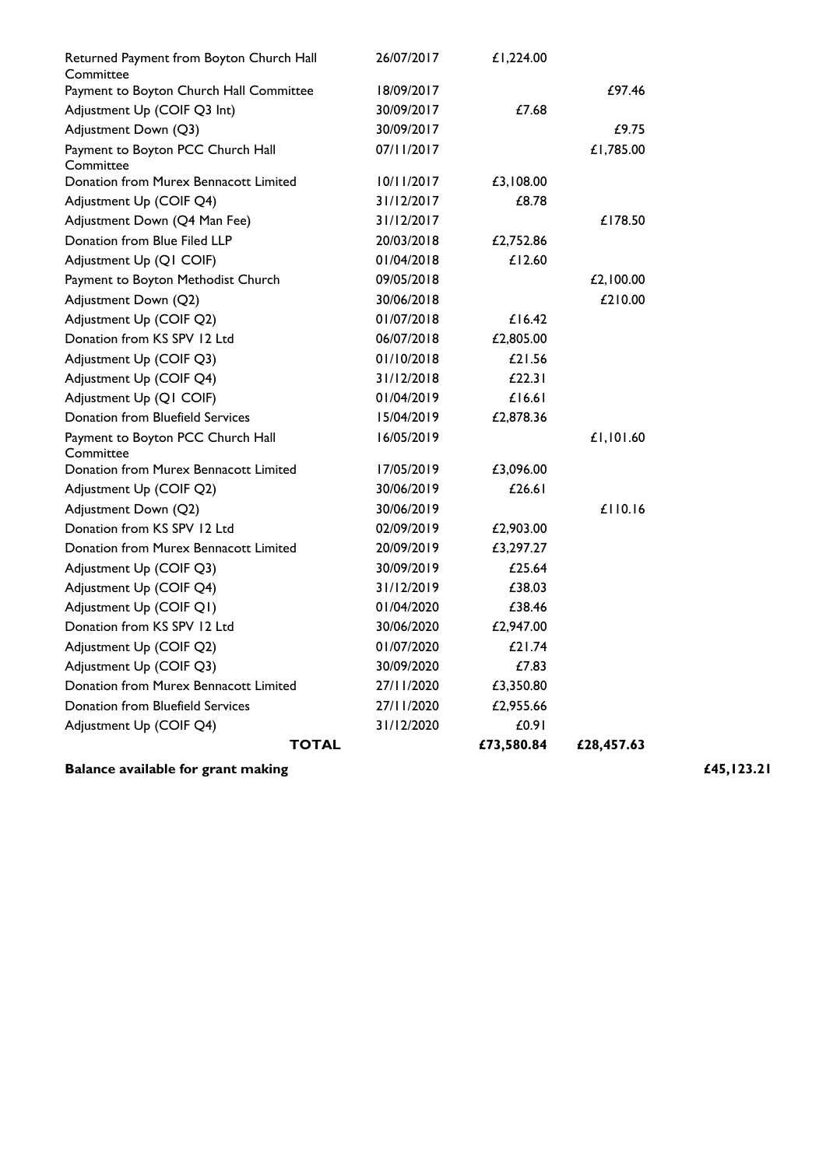| <b>TOTAL</b>                                   |                                                                                                                                                                                                                                                   |                                                                                                              | £28,457.63                                                      |
|------------------------------------------------|---------------------------------------------------------------------------------------------------------------------------------------------------------------------------------------------------------------------------------------------------|--------------------------------------------------------------------------------------------------------------|-----------------------------------------------------------------|
|                                                |                                                                                                                                                                                                                                                   |                                                                                                              |                                                                 |
|                                                |                                                                                                                                                                                                                                                   |                                                                                                              |                                                                 |
| Donation from Murex Bennacott Limited          |                                                                                                                                                                                                                                                   |                                                                                                              |                                                                 |
|                                                |                                                                                                                                                                                                                                                   |                                                                                                              |                                                                 |
| Adjustment Up (COIF Q2)                        | 01/07/2020                                                                                                                                                                                                                                        | £21.74                                                                                                       |                                                                 |
| Donation from KS SPV 12 Ltd                    | 30/06/2020                                                                                                                                                                                                                                        | £2,947.00                                                                                                    |                                                                 |
| Adjustment Up (COIF Q1)                        | 01/04/2020                                                                                                                                                                                                                                        | £38.46                                                                                                       |                                                                 |
| Adjustment Up (COIF Q4)                        | 31/12/2019                                                                                                                                                                                                                                        | £38.03                                                                                                       |                                                                 |
| Adjustment Up (COIF Q3)                        | 30/09/2019                                                                                                                                                                                                                                        | £25.64                                                                                                       |                                                                 |
| Donation from Murex Bennacott Limited          | 20/09/2019                                                                                                                                                                                                                                        | £3,297.27                                                                                                    |                                                                 |
| Donation from KS SPV 12 Ltd                    | 02/09/2019                                                                                                                                                                                                                                        | £2,903.00                                                                                                    |                                                                 |
| Adjustment Down (Q2)                           | 30/06/2019                                                                                                                                                                                                                                        |                                                                                                              | $£$   $ 0.16$                                                   |
| Adjustment Up (COIF Q2)                        | 30/06/2019                                                                                                                                                                                                                                        | £26.61                                                                                                       |                                                                 |
| Donation from Murex Bennacott Limited          | 17/05/2019                                                                                                                                                                                                                                        | £3,096.00                                                                                                    |                                                                 |
| Payment to Boyton PCC Church Hall<br>Committee | 16/05/2019                                                                                                                                                                                                                                        |                                                                                                              | £1,101.60                                                       |
| Donation from Bluefield Services               | 15/04/2019                                                                                                                                                                                                                                        | £2,878.36                                                                                                    |                                                                 |
| Adjustment Up (Q1 COIF)                        | 01/04/2019                                                                                                                                                                                                                                        | £16.61                                                                                                       |                                                                 |
| Adjustment Up (COIF Q4)                        | 31/12/2018                                                                                                                                                                                                                                        | £22.31                                                                                                       |                                                                 |
| Adjustment Up (COIF Q3)                        | 01/10/2018                                                                                                                                                                                                                                        | £21.56                                                                                                       |                                                                 |
| Donation from KS SPV 12 Ltd                    | 06/07/2018                                                                                                                                                                                                                                        | £2,805.00                                                                                                    |                                                                 |
| Adjustment Up (COIF Q2)                        | 01/07/2018                                                                                                                                                                                                                                        | £16.42                                                                                                       |                                                                 |
| Adjustment Down (Q2)                           | 30/06/2018                                                                                                                                                                                                                                        |                                                                                                              | £210.00                                                         |
| Payment to Boyton Methodist Church             | 09/05/2018                                                                                                                                                                                                                                        |                                                                                                              | £2,100.00                                                       |
| Adjustment Up (Q1 COIF)                        | 01/04/2018                                                                                                                                                                                                                                        | £12.60                                                                                                       |                                                                 |
| Donation from Blue Filed LLP                   | 20/03/2018                                                                                                                                                                                                                                        | £2,752.86                                                                                                    |                                                                 |
| Adjustment Down (Q4 Man Fee)                   | 31/12/2017                                                                                                                                                                                                                                        |                                                                                                              | £178.50                                                         |
| Adjustment Up (COIF Q4)                        | 31/12/2017                                                                                                                                                                                                                                        | £8.78                                                                                                        |                                                                 |
| Donation from Murex Bennacott Limited          | 10/11/2017                                                                                                                                                                                                                                        | £3,108.00                                                                                                    |                                                                 |
|                                                |                                                                                                                                                                                                                                                   |                                                                                                              | £1,785.00                                                       |
|                                                |                                                                                                                                                                                                                                                   |                                                                                                              | £9.75                                                           |
|                                                |                                                                                                                                                                                                                                                   |                                                                                                              |                                                                 |
|                                                |                                                                                                                                                                                                                                                   |                                                                                                              | £97.46                                                          |
| Committee                                      |                                                                                                                                                                                                                                                   |                                                                                                              |                                                                 |
| Returned Payment from Boyton Church Hall       | 26/07/2017                                                                                                                                                                                                                                        | £1,224.00                                                                                                    |                                                                 |
|                                                | Payment to Boyton Church Hall Committee<br>Adjustment Up (COIF Q3 Int)<br>Adjustment Down (Q3)<br>Payment to Boyton PCC Church Hall<br>Committee<br>Adjustment Up (COIF Q3)<br><b>Donation from Bluefield Services</b><br>Adjustment Up (COIF Q4) | 18/09/2017<br>30/09/2017<br>30/09/2017<br>07/11/2017<br>30/09/2020<br>27/11/2020<br>27/11/2020<br>31/12/2020 | £7.68<br>£7.83<br>£3,350.80<br>£2,955.66<br>£0.91<br>£73,580.84 |

**Balance available for grant making <b>E45,123.21 £45,123.21**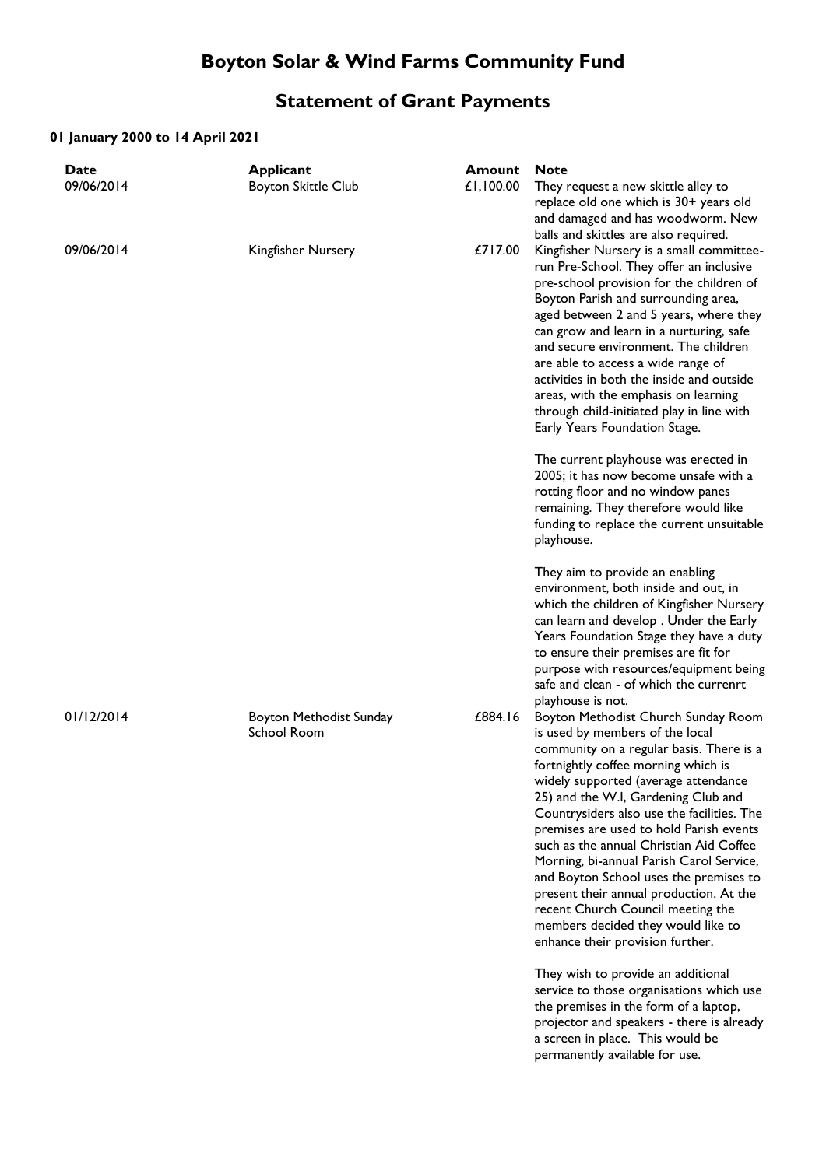# **Boyton Solar & Wind Farms Community Fund**

## **Statement of Grant Payments**

#### **01 January 2000 to 14 April 2021**

| <b>Date</b><br>09/06/2014 | Applicant<br><b>Boyton Skittle Club</b> | <b>Amount</b><br>£1,100.00 | <b>Note</b><br>They request a new skittle alley to<br>replace old one which is 30+ years old<br>and damaged and has woodworm. New<br>balls and skittles are also required.                                                                                                                                                                                                                                                                                                                                                                                                                                                   |
|---------------------------|-----------------------------------------|----------------------------|------------------------------------------------------------------------------------------------------------------------------------------------------------------------------------------------------------------------------------------------------------------------------------------------------------------------------------------------------------------------------------------------------------------------------------------------------------------------------------------------------------------------------------------------------------------------------------------------------------------------------|
| 09/06/2014                | Kingfisher Nursery                      | £717.00                    | Kingfisher Nursery is a small committee-<br>run Pre-School. They offer an inclusive<br>pre-school provision for the children of<br>Boyton Parish and surrounding area,<br>aged between 2 and 5 years, where they<br>can grow and learn in a nurturing, safe<br>and secure environment. The children<br>are able to access a wide range of<br>activities in both the inside and outside<br>areas, with the emphasis on learning<br>through child-initiated play in line with<br>Early Years Foundation Stage.                                                                                                                 |
|                           |                                         |                            | The current playhouse was erected in<br>2005; it has now become unsafe with a<br>rotting floor and no window panes<br>remaining. They therefore would like<br>funding to replace the current unsuitable<br>playhouse.                                                                                                                                                                                                                                                                                                                                                                                                        |
|                           |                                         |                            | They aim to provide an enabling<br>environment, both inside and out, in<br>which the children of Kingfisher Nursery<br>can learn and develop. Under the Early<br>Years Foundation Stage they have a duty<br>to ensure their premises are fit for<br>purpose with resources/equipment being<br>safe and clean - of which the currenrt<br>playhouse is not.                                                                                                                                                                                                                                                                    |
| 01/12/2014                | Boyton Methodist Sunday<br>School Room  | £884.16                    | Boyton Methodist Church Sunday Room<br>is used by members of the local<br>community on a regular basis. There is a<br>fortnightly coffee morning which is<br>widely supported (average attendance<br>25) and the W.I, Gardening Club and<br>Countrysiders also use the facilities. The<br>premises are used to hold Parish events<br>such as the annual Christian Aid Coffee<br>Morning, bi-annual Parish Carol Service,<br>and Boyton School uses the premises to<br>present their annual production. At the<br>recent Church Council meeting the<br>members decided they would like to<br>enhance their provision further. |
|                           |                                         |                            | They wish to provide an additional<br>service to those organisations which use<br>the premises in the form of a laptop,<br>projector and speakers - there is already<br>a screen in place. This would be<br>permanently available for use.                                                                                                                                                                                                                                                                                                                                                                                   |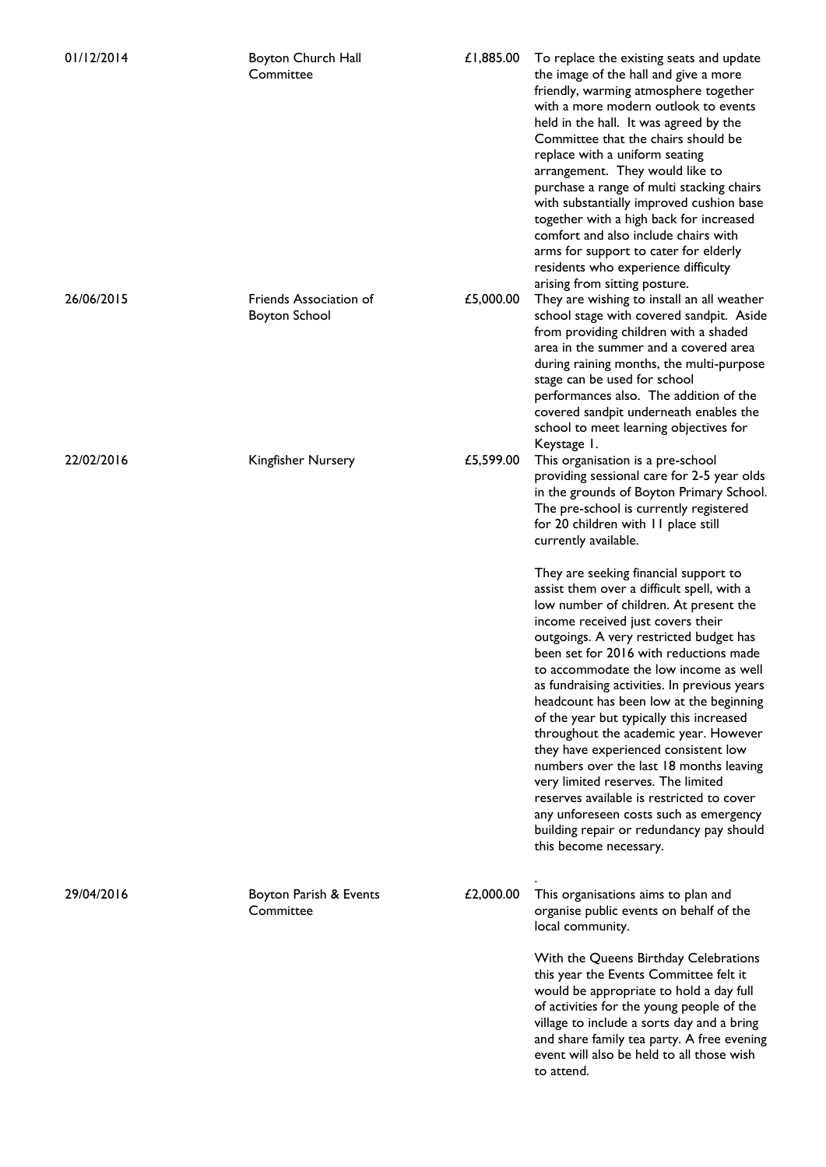| 01/12/2014 | Boyton Church Hall<br>Committee                | £1,885.00 | To replace the existing seats and update<br>the image of the hall and give a more<br>friendly, warming atmosphere together<br>with a more modern outlook to events<br>held in the hall. It was agreed by the<br>Committee that the chairs should be<br>replace with a uniform seating<br>arrangement. They would like to<br>purchase a range of multi stacking chairs<br>with substantially improved cushion base<br>together with a high back for increased<br>comfort and also include chairs with<br>arms for support to cater for elderly<br>residents who experience difficulty<br>arising from sitting posture.                                                                                                                                                  |
|------------|------------------------------------------------|-----------|------------------------------------------------------------------------------------------------------------------------------------------------------------------------------------------------------------------------------------------------------------------------------------------------------------------------------------------------------------------------------------------------------------------------------------------------------------------------------------------------------------------------------------------------------------------------------------------------------------------------------------------------------------------------------------------------------------------------------------------------------------------------|
| 26/06/2015 | Friends Association of<br><b>Boyton School</b> | £5,000.00 | They are wishing to install an all weather<br>school stage with covered sandpit. Aside<br>from providing children with a shaded<br>area in the summer and a covered area<br>during raining months, the multi-purpose<br>stage can be used for school<br>performances also. The addition of the<br>covered sandpit underneath enables the<br>school to meet learning objectives for<br>Keystage 1.                                                                                                                                                                                                                                                                                                                                                                      |
| 22/02/2016 | Kingfisher Nursery                             | £5,599.00 | This organisation is a pre-school<br>providing sessional care for 2-5 year olds<br>in the grounds of Boyton Primary School.<br>The pre-school is currently registered<br>for 20 children with 11 place still<br>currently available.                                                                                                                                                                                                                                                                                                                                                                                                                                                                                                                                   |
|            |                                                |           | They are seeking financial support to<br>assist them over a difficult spell, with a<br>low number of children. At present the<br>income received just covers their<br>outgoings. A very restricted budget has<br>been set for 2016 with reductions made<br>to accommodate the low income as well<br>as fundraising activities. In previous years<br>headcount has been low at the beginning<br>of the year but typically this increased<br>throughout the academic year. However<br>they have experienced consistent low<br>numbers over the last 18 months leaving<br>very limited reserves. The limited<br>reserves available is restricted to cover<br>any unforeseen costs such as emergency<br>building repair or redundancy pay should<br>this become necessary. |
| 29/04/2016 | Boyton Parish & Events<br>Committee            | £2,000.00 | This organisations aims to plan and<br>organise public events on behalf of the<br>local community.                                                                                                                                                                                                                                                                                                                                                                                                                                                                                                                                                                                                                                                                     |
|            |                                                |           | With the Queens Birthday Celebrations<br>this year the Events Committee felt it<br>would be appropriate to hold a day full<br>of activities for the young people of the<br>village to include a sorts day and a bring<br>and share family tea party. A free evening<br>event will also be held to all those wish<br>to attend.                                                                                                                                                                                                                                                                                                                                                                                                                                         |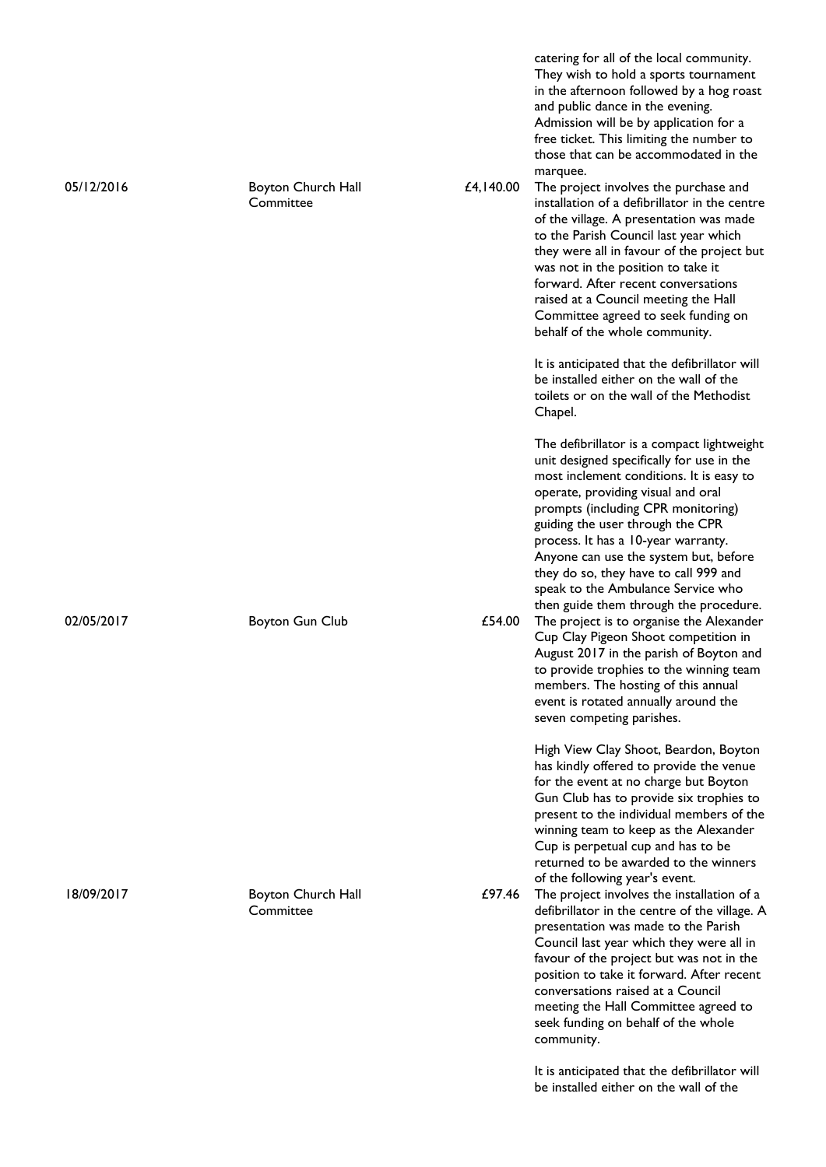| 05/12/2016 | Boyton Church Hall<br>Committee | £4,140.00 | catering for all of the local community.<br>They wish to hold a sports tournament<br>in the afternoon followed by a hog roast<br>and public dance in the evening.<br>Admission will be by application for a<br>free ticket. This limiting the number to<br>those that can be accommodated in the<br>marquee.<br>The project involves the purchase and<br>installation of a defibrillator in the centre<br>of the village. A presentation was made            |
|------------|---------------------------------|-----------|--------------------------------------------------------------------------------------------------------------------------------------------------------------------------------------------------------------------------------------------------------------------------------------------------------------------------------------------------------------------------------------------------------------------------------------------------------------|
|            |                                 |           | to the Parish Council last year which<br>they were all in favour of the project but<br>was not in the position to take it<br>forward. After recent conversations<br>raised at a Council meeting the Hall<br>Committee agreed to seek funding on<br>behalf of the whole community.                                                                                                                                                                            |
|            |                                 |           | It is anticipated that the defibrillator will<br>be installed either on the wall of the<br>toilets or on the wall of the Methodist<br>Chapel.                                                                                                                                                                                                                                                                                                                |
|            |                                 |           | The defibrillator is a compact lightweight<br>unit designed specifically for use in the<br>most inclement conditions. It is easy to<br>operate, providing visual and oral<br>prompts (including CPR monitoring)<br>guiding the user through the CPR<br>process. It has a 10-year warranty.<br>Anyone can use the system but, before<br>they do so, they have to call 999 and<br>speak to the Ambulance Service who<br>then guide them through the procedure. |
| 02/05/2017 | <b>Boyton Gun Club</b>          | £54.00    | The project is to organise the Alexander<br>Cup Clay Pigeon Shoot competition in<br>August 2017 in the parish of Boyton and<br>to provide trophies to the winning team<br>members. The hosting of this annual<br>event is rotated annually around the<br>seven competing parishes.                                                                                                                                                                           |
|            |                                 |           | High View Clay Shoot, Beardon, Boyton<br>has kindly offered to provide the venue<br>for the event at no charge but Boyton<br>Gun Club has to provide six trophies to<br>present to the individual members of the<br>winning team to keep as the Alexander<br>Cup is perpetual cup and has to be<br>returned to be awarded to the winners<br>of the following year's event.                                                                                   |
| 18/09/2017 | Boyton Church Hall<br>Committee | £97.46    | The project involves the installation of a<br>defibrillator in the centre of the village. A<br>presentation was made to the Parish<br>Council last year which they were all in<br>favour of the project but was not in the<br>position to take it forward. After recent<br>conversations raised at a Council<br>meeting the Hall Committee agreed to<br>seek funding on behalf of the whole<br>community.                                                    |
|            |                                 |           | It is anticipated that the defibrillator will<br>be installed either on the wall of the                                                                                                                                                                                                                                                                                                                                                                      |